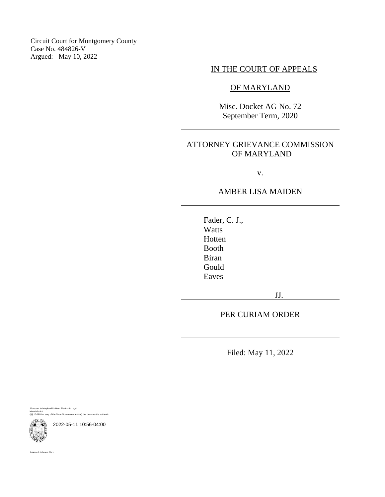Circuit Court for Montgomery County Case No. 484826-V Argued: May 10, 2022

## IN THE COURT OF APPEALS

### OF MARYLAND

Misc. Docket AG No. 72 September Term, 2020

## ATTORNEY GRIEVANCE COMMISSION OF MARYLAND

v.

### AMBER LISA MAIDEN

Fader, C. J., **Watts** Hotten Booth Biran Gould Eaves

JJ.

PER CURIAM ORDER

Filed: May 11, 2022

Pursuant to Maryland Uniform Electronic Legal Materials Act (§§ 10-1601 et seq. of the State Government Article) this document is authentic.

2022-05-11 10:56-04:00

Suzanne C. Johnson, Clerk